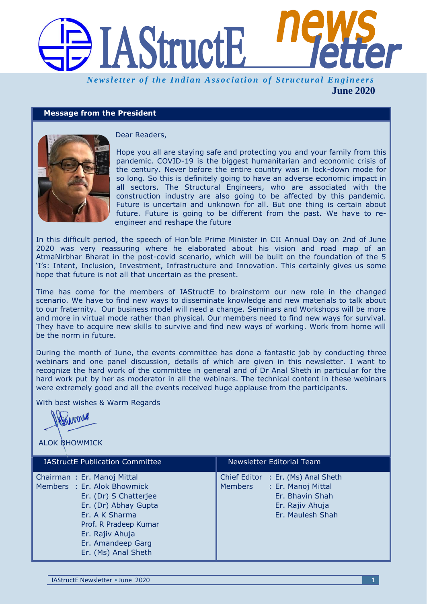

*N e w s l e t t e r o f t h e I n d i a n A s s o c i a t i o n o f S t r u c t u r a l E n g i n e e r s* **June 2020**

#### **Message from the President**



Dear Readers,

Hope you all are staying safe and protecting you and your family from this pandemic. COVID-19 is the biggest humanitarian and economic crisis of the century. Never before the entire country was in lock-down mode for so long. So this is definitely going to have an adverse economic impact in all sectors. The Structural Engineers, who are associated with the construction industry are also going to be affected by this pandemic. Future is uncertain and unknown for all. But one thing is certain about future. Future is going to be different from the past. We have to reengineer and reshape the future

In this difficult period, the speech of Hon"ble Prime Minister in CII Annual Day on 2nd of June 2020 was very reassuring where he elaborated about his vision and road map of an AtmaNirbhar Bharat in the post-covid scenario, which will be built on the foundation of the 5 "I"s: Intent, Inclusion, Investment, Infrastructure and Innovation. This certainly gives us some hope that future is not all that uncertain as the present.

Time has come for the members of IAStructE to brainstorm our new role in the changed scenario. We have to find new ways to disseminate knowledge and new materials to talk about to our fraternity. Our business model will need a change. Seminars and Workshops will be more and more in virtual mode rather than physical. Our members need to find new ways for survival. They have to acquire new skills to survive and find new ways of working. Work from home will be the norm in future.

During the month of June, the events committee has done a fantastic job by conducting three webinars and one panel discussion, details of which are given in this newsletter. I want to recognize the hard work of the committee in general and of Dr Anal Sheth in particular for the hard work put by her as moderator in all the webinars. The technical content in these webinars were extremely good and all the events received huge applause from the participants.

With best wishes & Warm Regards

**ANYVA** 

ALOK BHOWMICK

| <b>IAStructE</b> Publication Committee                                                                                                                                                                               | Newsletter Editorial Team                                                                                                            |
|----------------------------------------------------------------------------------------------------------------------------------------------------------------------------------------------------------------------|--------------------------------------------------------------------------------------------------------------------------------------|
| Chairman: Er. Manoj Mittal<br>Members : Er. Alok Bhowmick<br>Er. (Dr) S Chatterjee<br>Er. (Dr) Abhay Gupta<br>Er. A K Sharma<br>Prof. R Pradeep Kumar<br>Er. Rajiv Ahuja<br>Er. Amandeep Garg<br>Er. (Ms) Anal Sheth | Chief Editor : Er. (Ms) Anal Sheth<br>: Er. Manoj Mittal<br><b>Members</b><br>Er. Bhavin Shah<br>Er. Rajiv Ahuja<br>Er. Maulesh Shah |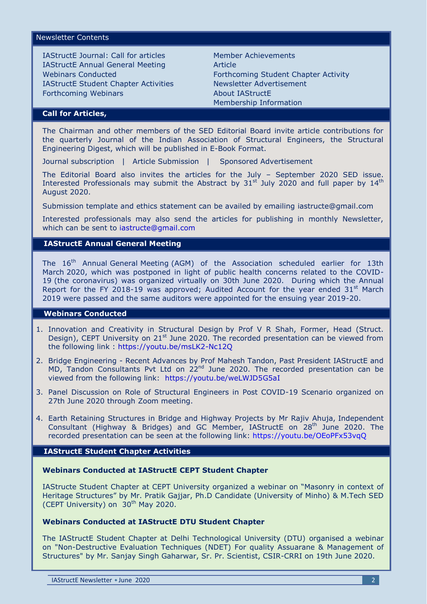### Newsletter Contents

IAStructE Journal: Call for articles IAStructE Annual General Meeting Webinars Conducted IAStructE Student Chapter Activities Forthcoming Webinars

Member Achievements Article Forthcoming Student Chapter Activity Newsletter Advertisement About IAStructE Membership Information

# **Call for Articles,**

The Chairman and other members of the SED Editorial Board invite article contributions for the quarterly Journal of the Indian Association of Structural Engineers, the Structural Engineering Digest, which will be published in E-Book Format.

Journal subscription | Article Submission | Sponsored Advertisement

The Editorial Board also invites the articles for the July – September 2020 SED issue. Interested Professionals may submit the Abstract by  $31<sup>st</sup>$  July 2020 and full paper by  $14<sup>th</sup>$ August 2020.

Submission template and ethics statement can be availed by emailing [iastructe@gmail.com](mailto:iastructe@gmail.com)

Interested professionals may also send the articles for publishing in monthly Newsletter, which can be sent to [iastructe@gmail.com](mailto:iastructe@gmail.com)

#### **IAStructE Annual General Meeting**

The 16<sup>th</sup> Annual General Meeting (AGM) of the Association scheduled earlier for 13th March 2020, which was postponed in light of public health concerns related to the COVID-19 (the coronavirus) was organized virtually on 30th June 2020. During which the Annual Report for the FY 2018-19 was approved; Audited Account for the year ended  $31^{st}$  March 2019 were passed and the same auditors were appointed for the ensuing year 2019-20.

### **Webinars Conducted**

- 1. Innovation and Creativity in Structural Design by Prof V R Shah, Former, Head (Struct. Design), CEPT University on 21<sup>st</sup> June 2020. The recorded presentation can be viewed from the following link :<https://youtu.be/msLK2-Nc12Q>
- 2. Bridge Engineering Recent Advances by Prof Mahesh Tandon, Past President IAStructE and MD, Tandon Consultants Pvt Ltd on 22<sup>nd</sup> June 2020. The recorded presentation can be viewed from the following link: <https://youtu.be/weLWJD5G5aI>
- 3. Panel Discussion on Role of Structural Engineers in Post COVID-19 Scenario organized on 27th June 2020 through Zoom meeting.
- 4. Earth Retaining Structures in Bridge and Highway Projects by Mr Rajiv Ahuja, Independent Consultant (Highway & Bridges) and GC Member, IAStructE on 28<sup>th</sup> June 2020. The recorded presentation can be seen at the following link: <https://youtu.be/OEoPFx53vqQ>

#### **IAStructE Student Chapter Activities**

#### **Webinars Conducted at IAStructE CEPT Student Chapter**

IAStructe Student Chapter at CEPT University organized a webinar on "Masonry in context of Heritage Structures" by Mr. Pratik Gajjar, Ph.D Candidate (University of Minho) & M.Tech SED (CEPT University) on  $30<sup>th</sup>$  May 2020.

### **Webinars Conducted at IAStructE DTU Student Chapter**

The IAStructE Student Chapter at Delhi Technological University (DTU) organised a webinar on "Non-Destructive Evaluation Techniques (NDET) For quality Assuarane & Management of Structures" by Mr. Sanjay Singh Gaharwar, Sr. Pr. Scientist, CSIR-CRRI on 19th June 2020.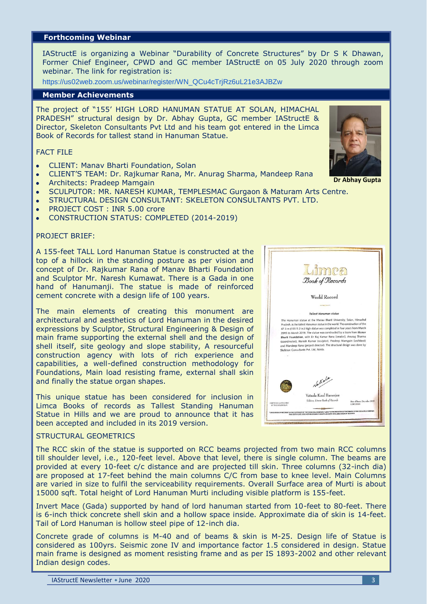#### **Forthcoming Webinar**

IAStructE is organizing a Webinar "Durability of Concrete Structures" by Dr S K Dhawan, Former Chief Engineer, CPWD and GC member IAStructE on 05 July 2020 through zoom webinar. The link for registration is:

[https://us02web.zoom.us/webinar/register/WN\\_QCu4cTrjRz6uL21e3AJBZw](https://us02web.zoom.us/webinar/register/WN_QCu4cTrjRz6uL21e3AJBZw)

#### **Member Achievements**

The project of "155" HIGH LORD HANUMAN STATUE AT SOLAN, HIMACHAL PRADESH" structural design by Dr. Abhay Gupta, GC member IAStructE & Director, Skeleton Consultants Pvt Ltd and his team got entered in the Limca Book of Records for tallest stand in Hanuman Statue.

# **FACT FILE**

- CLIENT: Manav Bharti Foundation, Solan  $\bullet$
- CLIENT"S TEAM: Dr. Rajkumar Rana, Mr. Anurag Sharma, Mandeep Rana
- Architects: Pradeep Mamgain
- SCULPUTOR: MR. NARESH KUMAR, TEMPLESMAC Gurgaon & Maturam Arts Centre.
- STRUCTURAL DESIGN CONSULTANT: SKELETON CONSULTANTS PVT. LTD.  $\bullet$
- PROJECT COST : INR 5.00 crore
- CONSTRUCTION STATUS: COMPLETED (2014-2019)

#### PROJECT BRIEF:

A 155-feet TALL Lord Hanuman Statue is constructed at the top of a hillock in the standing posture as per vision and concept of Dr. Rajkumar Rana of Manav Bharti Foundation and Sculptor Mr. Naresh Kumawat. There is a Gada in one hand of Hanumanji. The statue is made of reinforced cement concrete with a design life of 100 years.

The main elements of creating this monument are architectural and aesthetics of Lord Hanuman in the desired expressions by Sculptor, Structural Engineering & Design of main frame supporting the external shell and the design of shell itself, site geology and slope stability, A resourceful construction agency with lots of rich experience and capabilities, a well-defined construction methodology for Foundations, Main load resisting frame, external shall skin and finally the statue organ shapes.

This unique statue has been considered for inclusion in Limca Books of records as Tallest Standing Hanuman Statue in Hills and we are proud to announce that it has been accepted and included in its 2019 version.

#### STRUCTURAL GEOMETRICS

The RCC skin of the statue is supported on RCC beams projected from two main RCC columns till shoulder level, i.e., 120-feet level. Above that level, there is single column. The beams are provided at every 10-feet c/c distance and are projected till skin. Three columns (32-inch dia) are proposed at 17-feet behind the main columns C/C from base to knee level. Main Columns are varied in size to fulfil the serviceability requirements. Overall Surface area of Murti is about 15000 sqft. Total height of Lord Hanuman Murti including visible platform is 155-feet.

Invert Mace (Gada) supported by hand of lord hanuman started from 10-feet to 80-feet. There is 6-inch thick concrete shell skin and a hollow space inside. Approximate dia of skin is 14-feet. Tail of Lord Hanuman is hollow steel pipe of 12-inch dia.

Concrete grade of columns is M-40 and of beams & skin is M-25. Design life of Statue is considered as 100yrs. Seismic zone IV and importance factor 1.5 considered in design. Statue main frame is designed as moment resisting frame and as per IS 1893-2002 and other relevant Indian design codes.



**Dr Abhay Gupta**

|                                        |                                       | Limea<br>Book of Records                                                                                                                                                                                                                                                                                                                                                                                                                                                                                                     |                                                                                                                                  |  |
|----------------------------------------|---------------------------------------|------------------------------------------------------------------------------------------------------------------------------------------------------------------------------------------------------------------------------------------------------------------------------------------------------------------------------------------------------------------------------------------------------------------------------------------------------------------------------------------------------------------------------|----------------------------------------------------------------------------------------------------------------------------------|--|
|                                        |                                       | World Record                                                                                                                                                                                                                                                                                                                                                                                                                                                                                                                 |                                                                                                                                  |  |
|                                        |                                       |                                                                                                                                                                                                                                                                                                                                                                                                                                                                                                                              |                                                                                                                                  |  |
|                                        |                                       | <b>Tallest Hanuman statue</b>                                                                                                                                                                                                                                                                                                                                                                                                                                                                                                |                                                                                                                                  |  |
|                                        | Skeleton Consultants Pvt. Ltd, Noida. | The Hanuman statue at the Manav Bharti University, Solan, Himachal<br>Pradesh, is the tallest Hanuman statue in the world. The construction of the<br>47.3 m (155 ft 2 in.) high statue was completed in four years from March<br>2015 to March 2019. The statue was constructed by a team from Manav<br>Bharti Foundation, with Dr Raj Kumar Rana (creator), Anurag Sharma<br>(coordinator), Naresh Kumar (sculptor), Pradeep Mamgain (architect)<br>and Mandeep Rana (project director). The structural design was done by |                                                                                                                                  |  |
|                                        |                                       |                                                                                                                                                                                                                                                                                                                                                                                                                                                                                                                              |                                                                                                                                  |  |
|                                        |                                       | Natiala                                                                                                                                                                                                                                                                                                                                                                                                                                                                                                                      |                                                                                                                                  |  |
|                                        |                                       | Vatsala Kaul Banerjee                                                                                                                                                                                                                                                                                                                                                                                                                                                                                                        |                                                                                                                                  |  |
| CERTIFIED AUTHENTIC<br>BY THE HOLOGRAM |                                       | Editor, Linsca Book of Records                                                                                                                                                                                                                                                                                                                                                                                                                                                                                               | Date of Issue: December 2019<br>(LBR 2020)                                                                                       |  |
|                                        |                                       | THIS CERTIFICATE DOES NOT NECESSARILY DENOTE AN ENTRY INTO LIMCA BOOK OF RECORDS.                                                                                                                                                                                                                                                                                                                                                                                                                                            | "LINCA BOOK OF RECORDS" IS THE COPYRIGHT OF THE COCA-COLA COMPANY, "LINCA" IS THE REGISTERED TRADEMARK OF THE COCA-COLA COMPANY, |  |

 $\overline{1}$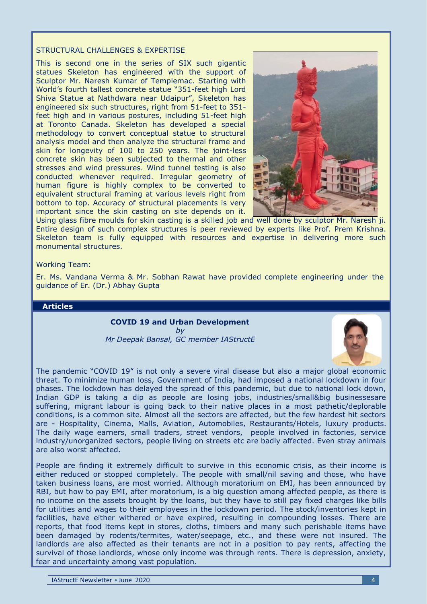#### STRUCTURAL CHALLENGES & EXPERTISE

This is second one in the series of SIX such gigantic statues Skeleton has engineered with the support of Sculptor Mr. Naresh Kumar of Templemac. Starting with World"s fourth tallest concrete statue "351-feet high Lord Shiva Statue at Nathdwara near Udaipur", Skeleton has engineered six such structures, right from 51-feet to 351 feet high and in various postures, including 51-feet high at Toronto Canada. Skeleton has developed a special methodology to convert conceptual statue to structural analysis model and then analyze the structural frame and skin for longevity of 100 to 250 years. The joint-less concrete skin has been subjected to thermal and other stresses and wind pressures. Wind tunnel testing is also conducted whenever required. Irregular geometry of human figure is highly complex to be converted to equivalent structural framing at various levels right from bottom to top. Accuracy of structural placements is very important since the skin casting on site depends on it.



Using glass fibre moulds for skin casting is a skilled job and well done by sculptor Mr. Naresh ji. Entire design of such complex structures is peer reviewed by experts like Prof. Prem Krishna. Skeleton team is fully equipped with resources and expertise in delivering more such monumental structures.

### Working Team:

Er. Ms. Vandana Verma & Mr. Sobhan Rawat have provided complete engineering under the guidance of Er. (Dr.) Abhay Gupta

#### **Articles**

#### **COVID 19 and Urban Development** *by Mr Deepak Bansal, GC member IAStructE*



The pandemic "COVID 19" is not only a severe viral disease but also a major global economic threat. To minimize human loss, Government of India, had imposed a national lockdown in four phases. The lockdown has delayed the spread of this pandemic, but due to national lock down, Indian GDP is taking a dip as people are losing jobs, industries/small&big businessesare suffering, migrant labour is going back to their native places in a most pathetic/deplorable conditions, is a common site. Almost all the sectors are affected, but the few hardest hit sectors are - Hospitality, Cinema, Malls, Aviation, Automobiles, Restaurants/Hotels, luxury products. The daily wage earners, small traders, street vendors, people involved in factories, service industry/unorganized sectors, people living on streets etc are badly affected. Even stray animals are also worst affected.

People are finding it extremely difficult to survive in this economic crisis, as their income is either reduced or stopped completely. The people with small/nil saving and those, who have taken business loans, are most worried. Although moratorium on EMI, has been announced by RBI, but how to pay EMI, after moratorium, is a big question among affected people, as there is no income on the assets brought by the loans, but they have to still pay fixed charges like bills for utilities and wages to their employees in the lockdown period. The stock/inventories kept in facilities, have either withered or have expired, resulting in compounding losses. There are reports, that food items kept in stores, cloths, timbers and many such perishable items have been damaged by rodents/termites, water/seepage, etc., and these were not insured. The landlords are also affected as their tenants are not in a position to pay rents, affecting the survival of those landlords, whose only income was through rents. There is depression, anxiety, fear and uncertainty among vast population.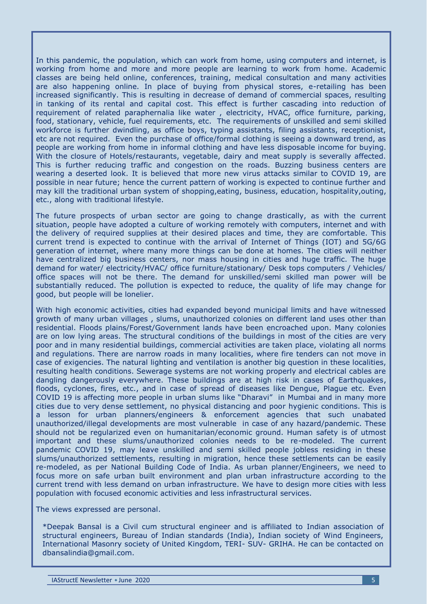In this pandemic, the population, which can work from home, using computers and internet, is working from home and more and more people are learning to work from home. Academic classes are being held online, conferences, training, medical consultation and many activities are also happening online. In place of buying from physical stores, e-retailing has been increased significantly. This is resulting in decrease of demand of commercial spaces, resulting in tanking of its rental and capital cost. This effect is further cascading into reduction of requirement of related paraphernalia like water , electricity, HVAC, office furniture, parking, food, stationary, vehicle, fuel requirements, etc. The requirements of unskilled and semi skilled workforce is further dwindling, as office boys, typing assistants, filing assistants, receptionist, etc are not required. Even the purchase of office/formal clothing is seeing a downward trend, as people are working from home in informal clothing and have less disposable income for buying. With the closure of Hotels/restaurants, vegetable, dairy and meat supply is severally affected. This is further reducing traffic and congestion on the roads. Buzzing business centers are wearing a deserted look. It is believed that more new virus attacks similar to COVID 19, are possible in near future; hence the current pattern of working is expected to continue further and may kill the traditional urban system of shopping,eating, business, education, hospitality,outing, etc., along with traditional lifestyle.

The future prospects of urban sector are going to change drastically, as with the current situation, people have adopted a culture of working remotely with computers, internet and with the delivery of required supplies at their desired places and time, they are comfortable. This current trend is expected to continue with the arrival of Internet of Things (IOT) and 5G/6G generation of internet, where many more things can be done at homes. The cities will neither have centralized big business centers, nor mass housing in cities and huge traffic. The huge demand for water/ electricity/HVAC/ office furniture/stationary/ Desk tops computers / Vehicles/ office spaces will not be there. The demand for unskilled/semi skilled man power will be substantially reduced. The pollution is expected to reduce, the quality of life may change for good, but people will be lonelier.

With high economic activities, cities had expanded beyond municipal limits and have witnessed growth of many urban villages , slums, unauthorized colonies on different land uses other than residential. Floods plains/Forest/Government lands have been encroached upon. Many colonies are on low lying areas. The structural conditions of the buildings in most of the cities are very poor and in many residential buildings, commercial activities are taken place, violating all norms and regulations. There are narrow roads in many localities, where fire tenders can not move in case of exigencies. The natural lighting and ventilation is another big question in these localities, resulting health conditions. Sewerage systems are not working properly and electrical cables are dangling dangerously everywhere. These buildings are at high risk in cases of Earthquakes, floods, cyclones, fires, etc., and in case of spread of diseases like Dengue, Plague etc. Even COVID 19 is affecting more people in urban slums like "Dharavi" in Mumbai and in many more cities due to very dense settlement, no physical distancing and poor hygienic conditions. This is a lesson for urban planners/engineers & enforcement agencies that such unabated unauthorized/illegal developments are most vulnerable in case of any hazard/pandemic. These should not be regularized even on humanitarian/economic ground. Human safety is of utmost important and these slums/unauthorized colonies needs to be re-modeled. The current pandemic COVID 19, may leave unskilled and semi skilled people jobless residing in these slums/unauthorized settlements, resulting in migration, hence these settlements can be easily re-modeled, as per National Building Code of India. As urban planner/Engineers, we need to focus more on safe urban built environment and plan urban infrastructure according to the current trend with less demand on urban infrastructure. We have to design more cities with less population with focused economic activities and less infrastructural services.

The views expressed are personal.

\*Deepak Bansal is a Civil cum structural engineer and is affiliated to Indian association of structural engineers, Bureau of Indian standards (India), Indian society of Wind Engineers, International Masonry society of United Kingdom, TERI- SUV- GRIHA. He can be contacted on dbansalindia@gmail.com.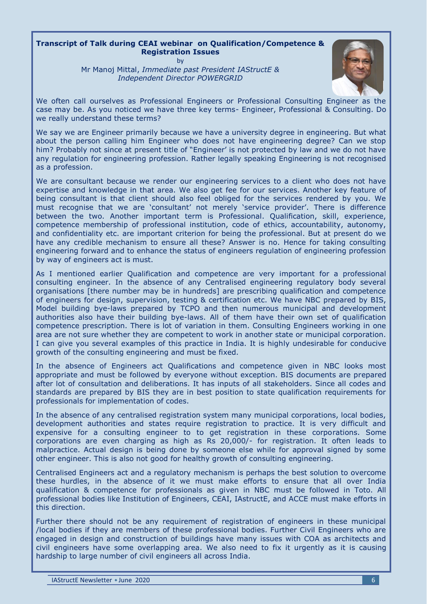#### **Transcript of Talk during CEAI webinar on Qualification/Competence & Registration Issues** by

Mr Manoj Mittal, *Immediate past President IAStructE & Independent Director POWERGRID*



We often call ourselves as Professional Engineers or Professional Consulting Engineer as the case may be. As you noticed we have three key terms- Engineer, Professional & Consulting. Do we really understand these terms?

We say we are Engineer primarily because we have a university degree in engineering. But what about the person calling him Engineer who does not have engineering degree? Can we stop him? Probably not since at present title of "Engineer' is not protected by law and we do not have any regulation for engineering profession. Rather legally speaking Engineering is not recognised as a profession.

We are consultant because we render our engineering services to a client who does not have expertise and knowledge in that area. We also get fee for our services. Another key feature of being consultant is that client should also feel obliged for the services rendered by you. We must recognise that we are "consultant" not merely "service provider". There is difference between the two. Another important term is Professional. Qualification, skill, experience, competence membership of professional institution, code of ethics, accountability, autonomy, and confidentiality etc. are important criterion for being the professional. But at present do we have any credible mechanism to ensure all these? Answer is no. Hence for taking consulting engineering forward and to enhance the status of engineers regulation of engineering profession by way of engineers act is must.

As I mentioned earlier Qualification and competence are very important for a professional consulting engineer. In the absence of any Centralised engineering regulatory body several organisations [there number may be in hundreds] are prescribing qualification and competence of engineers for design, supervision, testing & certification etc. We have NBC prepared by BIS, Model building bye-laws prepared by TCPO and then numerous municipal and development authorities also have their building bye-laws. All of them have their own set of qualification competence prescription. There is lot of variation in them. Consulting Engineers working in one area are not sure whether they are competent to work in another state or municipal corporation. I can give you several examples of this practice in India. It is highly undesirable for conducive growth of the consulting engineering and must be fixed.

In the absence of Engineers act Qualifications and competence given in NBC looks most appropriate and must be followed by everyone without exception. BIS documents are prepared after lot of consultation and deliberations. It has inputs of all stakeholders. Since all codes and standards are prepared by BIS they are in best position to state qualification requirements for professionals for implementation of codes.

In the absence of any centralised registration system many municipal corporations, local bodies, development authorities and states require registration to practice. It is very difficult and expensive for a consulting engineer to to get registration in these corporations. Some corporations are even charging as high as Rs 20,000/- for registration. It often leads to malpractice. Actual design is being done by someone else while for approval signed by some other engineer. This is also not good for healthy growth of consulting engineering.

Centralised Engineers act and a regulatory mechanism is perhaps the best solution to overcome these hurdles, in the absence of it we must make efforts to ensure that all over India qualification & competence for professionals as given in NBC must be followed in Toto. All professional bodies like Institution of Engineers, CEAI, IAstructE, and ACCE must make efforts in this direction.

Further there should not be any requirement of registration of engineers in these municipal /local bodies if they are members of these professional bodies. Further Civil Engineers who are engaged in design and construction of buildings have many issues with COA as architects and civil engineers have some overlapping area. We also need to fix it urgently as it is causing hardship to large number of civil engineers all across India.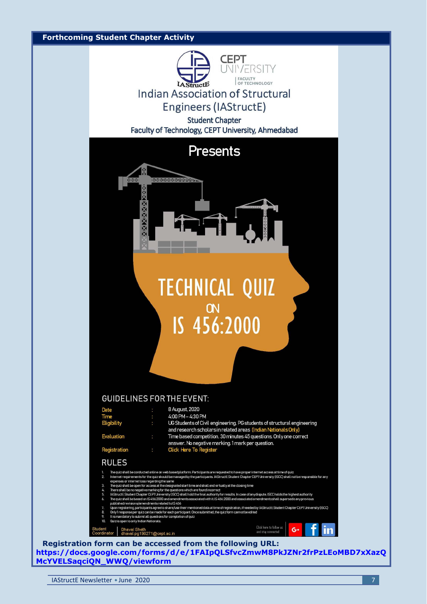# **Forthcoming Student Chapter Activity**



# Engineers (IAStructE)

**Student Chapter** Faculty of Technology, CEPT University, Ahmedabad



**[https://docs.google.com/forms/d/e/1FAIpQLSfvcZmwM8PkJZNr2frPzLEoMBD7xXazQ](https://docs.google.com/forms/d/e/1FAIpQLSfvcZmwM8PkJZNr2frPzLEoMBD7xXazQMcYVELSaqciQN_WWQ/viewform) [McYVELSaqciQN\\_WWQ/viewform](https://docs.google.com/forms/d/e/1FAIpQLSfvcZmwM8PkJZNr2frPzLEoMBD7xXazQMcYVELSaqciQN_WWQ/viewform)**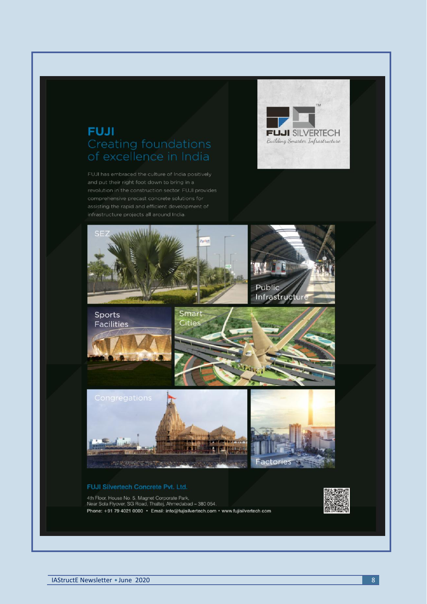# **FUJI Creating foundations**

FUJI has embraced the culture of India positively





4th Floor, House No. 5, Magnet Corporate Park,<br>Near Sola Flyover, SG Road, Thaltej, Ahmedabad - 380 054,<br>Phone: +91 79 4021 0000 · Email: info@fujisilvertech.com · www.fujisilvertech.com